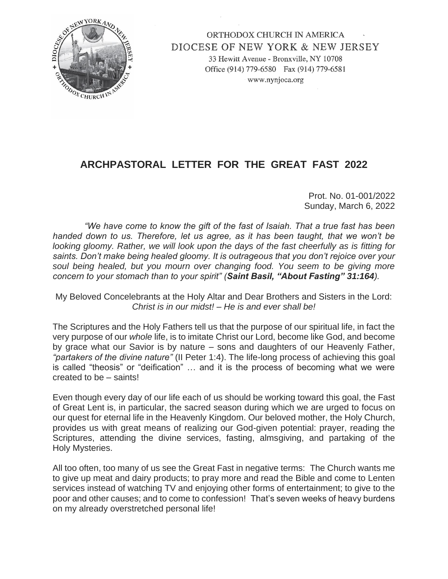

ORTHODOX CHURCH IN AMERICA DIOCESE OF NEW YORK & NEW JERSEY 33 Hewitt Avenue - Bronxville, NY 10708 Office (914) 779-6580 Fax (914) 779-6581 www.nynjoca.org

## **ARCHPASTORAL LETTER FOR THE GREAT FAST 2022**

Prot. No. 01-001/2022 Sunday, March 6, 2022

 *"We have come to know the gift of the fast of Isaiah. That a true fast has been handed down to us. Therefore, let us agree, as it has been taught, that we won't be looking gloomy. Rather, we will look upon the days of the fast cheerfully as is fitting for saints. Don't make being healed gloomy. It is outrageous that you don't rejoice over your soul being healed, but you mourn over changing food. You seem to be giving more concern to your stomach than to your spirit" (Saint Basil, "About Fasting" 31:164).*

My Beloved Concelebrants at the Holy Altar and Dear Brothers and Sisters in the Lord: *Christ is in our midst! – He is and ever shall be!*

The Scriptures and the Holy Fathers tell us that the purpose of our spiritual life, in fact the very purpose of our *whole* life, is to imitate Christ our Lord, become like God, and become by grace what our Savior is by nature – sons and daughters of our Heavenly Father, *"partakers of the divine nature"* (II Peter 1:4). The life-long process of achieving this goal is called "theosis" or "deification" … and it is the process of becoming what we were created to be – saints!

Even though every day of our life each of us should be working toward this goal, the Fast of Great Lent is, in particular, the sacred season during which we are urged to focus on our quest for eternal life in the Heavenly Kingdom. Our beloved mother, the Holy Church, provides us with great means of realizing our God-given potential: prayer, reading the Scriptures, attending the divine services, fasting, almsgiving, and partaking of the Holy Mysteries.

All too often, too many of us see the Great Fast in negative terms: The Church wants me to give up meat and dairy products; to pray more and read the Bible and come to Lenten services instead of watching TV and enjoying other forms of entertainment; to give to the poor and other causes; and to come to confession! That's seven weeks of heavy burdens on my already overstretched personal life!